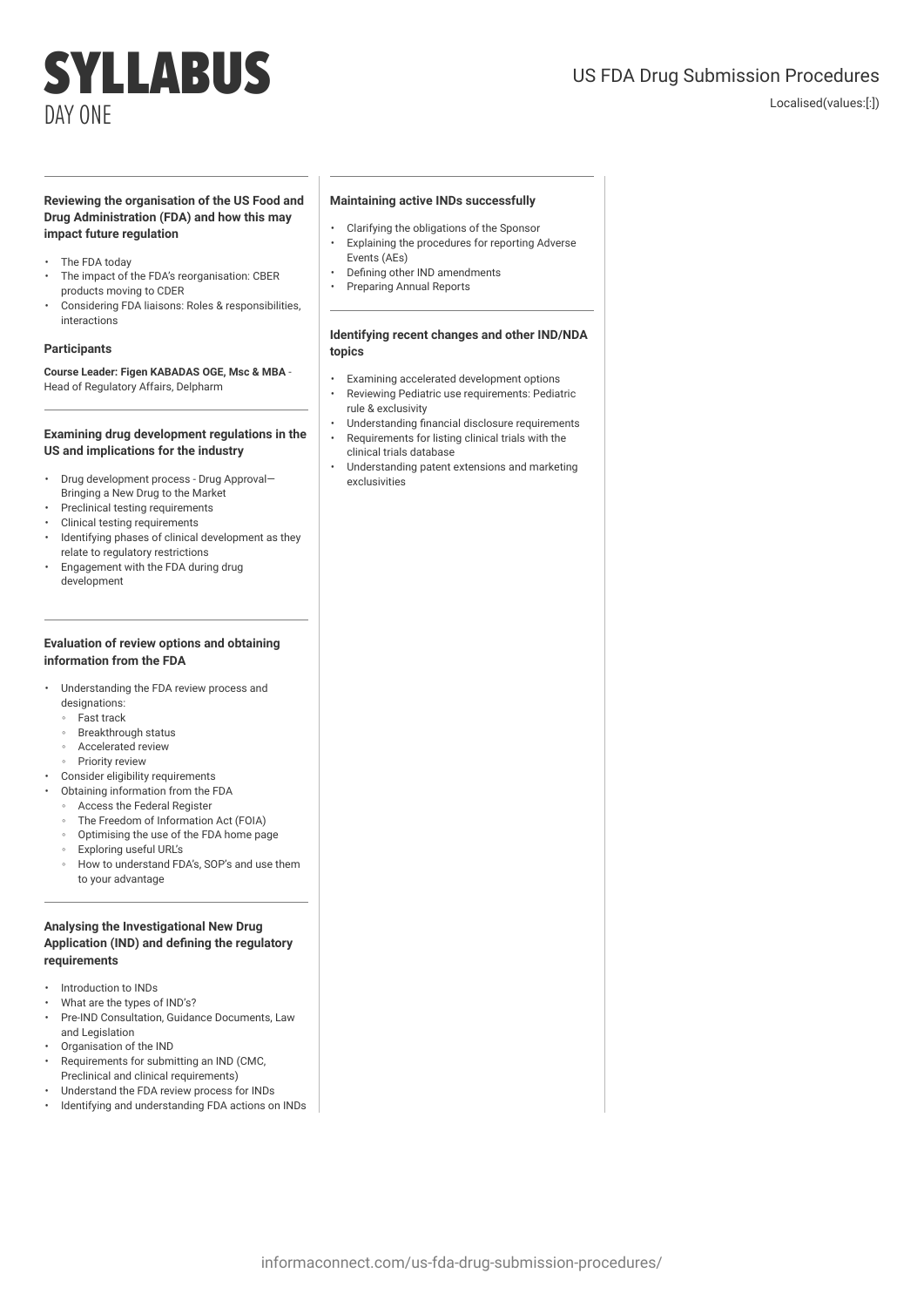# SYLLABUS DAY ONE

# US FDA Drug Submission Procedures

Localised(values:[:])

# **Reviewing the organisation of the US Food and Drug Administration (FDA) and how this may impact future regulation**

- The FDA today
- The impact of the FDA's reorganisation: CBER products moving to CDER
- Considering FDA liaisons: Roles & responsibilities, interactions

#### **Participants**

### **Course Leader: Figen KABADAS OGE, Msc & MBA** - Head of Regulatory Affairs, Delpharm

#### **Examining drug development regulations in the US and implications for the industry**

- Drug development process Drug Approval— Bringing a New Drug to the Market
- Preclinical testing requirements
- Clinical testing requirements
- Identifying phases of clinical development as they relate to regulatory restrictions
- Engagement with the FDA during drug development

#### **Evaluation of review options and obtaining information from the FDA**

- Understanding the FDA review process and designations:
	- Fast track
	- Breakthrough status
	- Accelerated review
	- Priority review
- Consider eligibility requirements
- Obtaining information from the FDA
	- Access the Federal Register
	- The Freedom of Information Act (FOIA)
	- Optimising the use of the FDA home page
	- Exploring useful URL's
	- How to understand FDA's, SOP's and use them to your advantage

## **Analysing the Investigational New Drug Application (IND) and defining the regulatory requirements**

- Introduction to INDs
- What are the types of IND's?
- Pre-IND Consultation, Guidance Documents, Law and Legislation
- Organisation of the IND
- Requirements for submitting an IND (CMC, Preclinical and clinical requirements)
- Understand the FDA review process for INDs
- Identifying and understanding FDA actions on INDs

# **Maintaining active INDs successfully**

- Clarifying the obligations of the Sponsor
- Explaining the procedures for reporting Adverse Events (AEs)
- Defining other IND amendments
- Preparing Annual Reports

#### **Identifying recent changes and other IND/NDA topics**

- Examining accelerated development options
- Reviewing Pediatric use requirements: Pediatric rule & exclusivity
- Understanding financial disclosure requirements
	- Requirements for listing clinical trials with the clinical trials database
	- Understanding patent extensions and marketing exclusivities